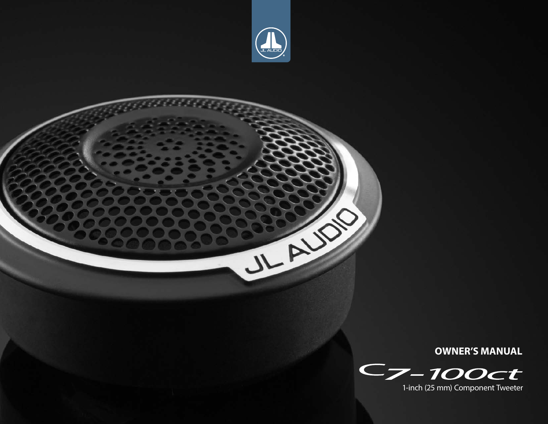



**OWNER'S MANUAL**

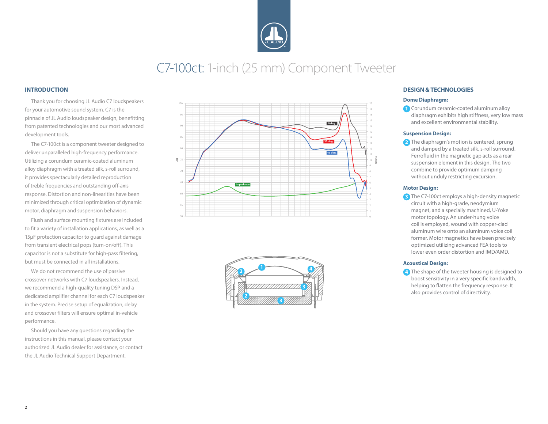

## C7-100ct: 1-inch (25 mm) Component Tweeter

#### **INTRODUCTION**

Thank you for choosing JL Audio C7 loudspeakers for your automotive sound system. C7 is the pinnacle of JL Audio loudspeaker design, benefitting from patented technologies and our most advanced development tools.

The C7-100ct is a component tweeter designed to deliver unparalleled high-frequency performance. Utilizing a corundum ceramic-coated aluminum alloy diaphragm with a treated silk, s-roll surround, it provides spectacularly detailed reproduction of treble frequencies and outstanding off-axis response. Distortion and non-linearities have been minimized through critical optimization of dynamic motor, diaphragm and suspension behaviors.

Flush and surface mounting fixtures are included to fit a variety of installation applications, as well as a 15μF protection capacitor to guard against damage from transient electrical pops (turn-on/off). This capacitor is not a substitute for high-pass filtering, but must be connected in all installations.

We do not recommend the use of passive crossover networks with C7 loudspeakers. Instead, we recommend a high-quality tuning DSP and a dedicated amplifier channel for each C7 loudspeaker in the system. Precise setup of equalization, delay and crossover filters will ensure optimal in-vehicle performance.

Should you have any questions regarding the instructions in this manual, please contact your authorized JL Audio dealer for assistance, or contact the JL Audio Technical Support Department.





#### **DESIGN & TECHNOLOGIES**

#### **Dome Diaphragm:**

**1** Corundum ceramic-coated aluminum alloy diaphragm exhibits high stiffness, very low mass and excellent environmental stability.

#### **Suspension Design:**

**2** The diaphragm's motion is centered, sprung and damped by a treated silk, s-roll surround. Ferrofluid in the magnetic gap acts as a rear suspension element in this design. The two combine to provide optimum damping without unduly restricting excursion.

#### **Motor Design:**

**3** The C7-100ct employs a high-density magnetic circuit with a high-grade, neodymium magnet, and a specially machined, U-Yoke motor topology. An under-hung voice coil is employed, wound with copper-clad aluminum wire onto an aluminum voice coil former. Motor magnetics have been precisely optimized utilizing advanced FEA tools to lower even order distortion and IMD/AMD.

#### **Acoustical Design:**

**4** The shape of the tweeter housing is designed to boost sensitivity in a very specific bandwidth, helping to flatten the frequency response. It also provides control of directivity.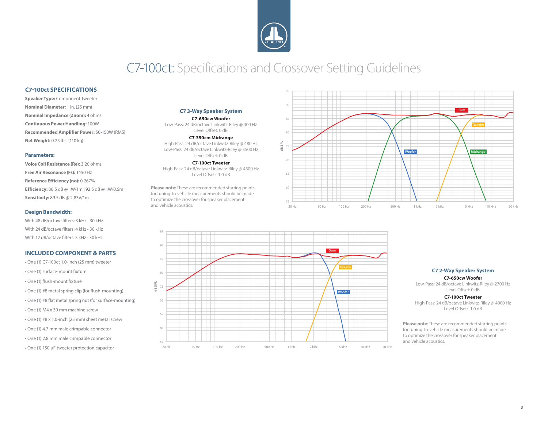

## C7-100ct: Specifications and Crossover Setting Guidelines

#### **C7-100ct SPECIFICATIONS**

**Speaker Type:** Component Tweeter **Nominal Diameter:** 1 in. (25 mm) **Nominal Impedance (Znom):** 4 ohms **Continuous Power Handling:** 100W **Recommended Amplifier Power:** 50-150W (RMS) **Net Weight:** 0.25 lbs. (110 kg)

#### **Parameters:**

**Voice Coil Resistance (Re):** 3.20 ohms **Free Air Resonance (Fs):** 1450 Hz **Reference Efficiency (no):** 0.267% **Efficiency:** 86.5 dB **@** 1W/1m | 92.5 dB **@** 1W/0.5m **Sensitivity:** 89.5 dB **@** 2.83V/1m

#### **Design Bandwidth:**

With 48 dB/octave filters: 3 kHz - 30 kHz With 24 dB/octave filters: 4 kHz - 30 kHz With 12 dB/octave filters: 5 kHz - 30 kHz

#### **INCLUDED COMPONENT & PARTS**

- One (1) C7-100ct 1.0-inch (25 mm) tweeter • One (1) surface-mount fixture • One (1) flush-mount fixture • One (1) #8 metal spring clip (for flush-mounting) • One (1) #8 flat metal spring nut (for surface-mounting) • One (1) M4 x 30 mm machine screw • One (1) #8 x 1.0-inch (25 mm) sheet metal screw • One (1) 4.7 mm male crimpable connector • One (1) 2.8 mm male crimpable connector
- One (1) 150 µF tweeter protection capacitor

#### **C7 3-Way Speaker System**

**C7-650cw Woofer** Low-Pass: 24 dB/octave Linkwitz-Riley @ 400 Hz Level Offset: 0 dB

**C7-350cm Midrange**

High-Pass: 24 dB/octave Linkwitz-Riley @ 480 Hz Low-Pass: 24 dB/octave Linkwitz-Riley @ 3500 Hz Level Offset: 0 dB

**C7-100ct Tweeter** High-Pass: 24 dB/octave Linkwitz-Riley @ 4500 Hz Level Offset: -1.0 dB

**Please note**: These are recommended starting points for tuning. In-vehicle measurements should be made to optimize the crossover for speaker placement and vehicle acoustics.





#### **C7 2-Way Speaker System**

#### **C7-650cw Woofer**

Low-Pass: 24 dB/octave Linkwitz-Riley @ 2700 Hz Level Offset: 0 dB

#### **C7-100ct Tweeter**

High-Pass: 24 dB/octave Linkwitz-Riley @ 4000 Hz Level Offset: -1.0 dB

**Please note**: These are recommended starting points for tuning. In-vehicle measurements should be made to optimize the crossover for speaker placement and vehicle acoustics.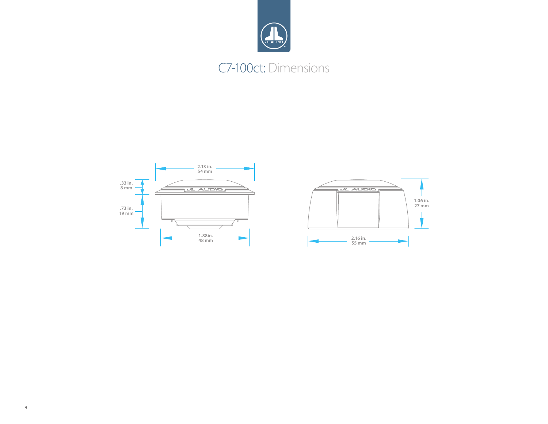

## C7-100ct: Dimensions



4

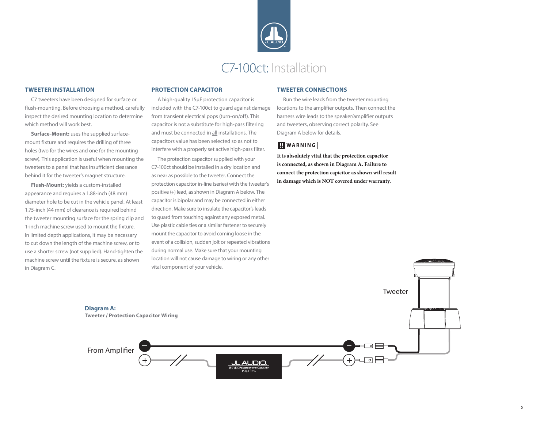

#### **TWEETER INSTALLATION**

C7 tweeters have been designed for surface or flush-mounting. Before choosing a method, carefully inspect the desired mounting location to determine which method will work best.

**Surface-Mount:** uses the supplied surfacemount fixture and requires the drilling of three holes (two for the wires and one for the mounting screw). This application is useful when mounting the tweeters to a panel that has insufficient clearance behind it for the tweeter's magnet structure.

**Flush-Mount:** yields a custom-installed appearance and requires a 1.88-inch (48 mm) diameter hole to be cut in the vehicle panel. At least 1.75-inch (44 mm) of clearance is required behind the tweeter mounting surface for the spring clip and 1-inch machine screw used to mount the fixture. In limited depth applications, it may be necessary to cut down the length of the machine screw, or to use a shorter screw (not supplied). Hand-tighten the machine screw until the fixture is secure, as shown in Diagram C.

#### **PROTECTION CAPACITOR**

A high-quality 15μF protection capacitor is included with the C7-100ct to guard against damage from transient electrical pops (turn-on/off). This capacitor is not a substitute for high-pass filtering and must be connected in all installations. The capacitors value has been selected so as not to interfere with a properly set active high-pass filter.

The protection capacitor supplied with your C7-100ct should be installed in a dry location and as near as possible to the tweeter. Connect the protection capacitor in-line (series) with the tweeter's positive (+) lead, as shown in Diagram A below. The capacitor is bipolar and may be connected in either direction. Make sure to insulate the capacitor's leads to guard from touching against any exposed metal. Use plastic cable ties or a similar fastener to securely mount the capacitor to avoid coming loose in the event of a collision, sudden jolt or repeated vibrations during normal use. Make sure that your mounting location will not cause damage to wiring or any other vital component of your vehicle.

#### **TWEETER CONNECTIONS**

Run the wire leads from the tweeter mounting locations to the amplifier outputs. Then connect the harness wire leads to the speaker/amplifier outputs and tweeters, observing correct polarity. See Diagram A below for details.

#### **!! WARNING**

**It is absolutely vital that the protection capacitor is connected, as shown in Diagram A. Failure to connect the protection capicitor as shown will result in damage which is NOT covered under warranty.** 

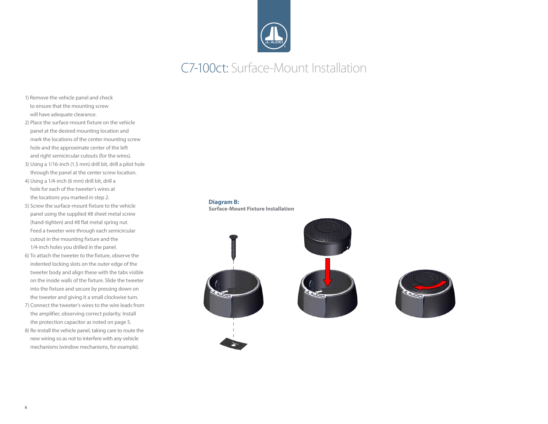

## C7-100ct: Surface-Mount Installation

- 1) Remove the vehicle panel and check to ensure that the mounting screw will have adequate clearance.
- 2) Place the surface-mount fixture on the vehicle panel at the desired mounting location and mark the locations of the center mounting screw hole and the approximate center of the left and right semicircular cutouts (for the wires).
- 3) Using a 1/16-inch (1.5 mm) drill bit, drill a pilot hole through the panel at the center screw location.
- 4) Using a 1/4-inch (6 mm) drill bit, drill a hole for each of the tweeter's wires at the locations you marked in step 2.
- 5) Screw the surface-mount fixture to the vehicle panel using the supplied #8 sheet metal screw (hand-tighten) and #8 flat metal spring nut. Feed a tweeter wire through each semicircular cutout in the mounting fixture and the 1/4-inch holes you drilled in the panel.
- 6) To attach the tweeter to the fixture, observe the indented locking slots on the outer edge of the tweeter body and align these with the tabs visible on the inside walls of the fixture. Slide the tweeter into the fixture and secure by pressing down on the tweeter and giving it a small clockwise turn.
- 7) Connect the tweeter's wires to the wire leads from the amplifier, observing correct polarity. Install the protection capacitor as noted on page 5.
- 8) Re-install the vehicle panel, taking care to route the new wiring so as not to interfere with any vehicle mechanisms(window mechanisms, for example).

#### **Diagram B:**

**Surface-Mount Fixture Installation**





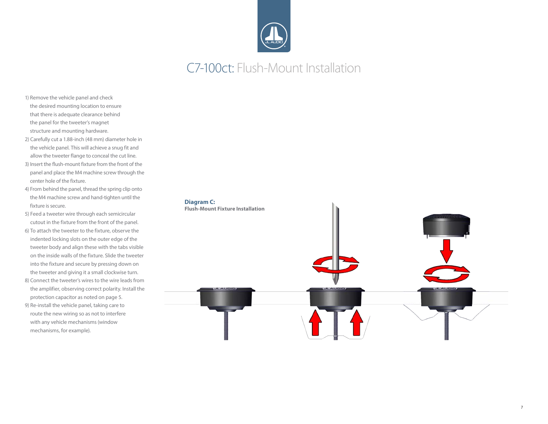

## C7-100ct: Flush-Mount Installation

- 1) Remove the vehicle panel and check the desired mounting location to ensure that there is adequate clearance behind the panel for the tweeter's magnet structure and mounting hardware.
- 2) Carefully cut a 1.88-inch (48 mm) diameter hole in the vehicle panel. This will achieve a snug fit and allow the tweeter flange to conceal the cut line.
- 3) Insert the flush-mount fixture from the front of the panel and place the M4 machine screw through the center hole of the fixture.
- 4) From behind the panel, thread the spring clip onto the M4 machine screw and hand-tighten until the fixture is secure.
- 5) Feed a tweeter wire through each semicircular cutout in the fixture from the front of the panel.
- 6) To attach the tweeter to the fixture, observe the indented locking slots on the outer edge of the tweeter body and align these with the tabs visible on the inside walls of the fixture. Slide the tweeter into the fixture and secure by pressing down on the tweeter and giving it a small clockwise turn.
- 8) Connect the tweeter's wires to the wire leads from the amplifier, observing correct polarity. Install the protection capacitor as noted on page 5.
- 9) Re-install the vehicle panel, taking care to route the new wiring so as not to interfere with any vehicle mechanisms(window mechanisms, for example).

#### **Diagram C:**

**Flush-Mount Fixture Installation**